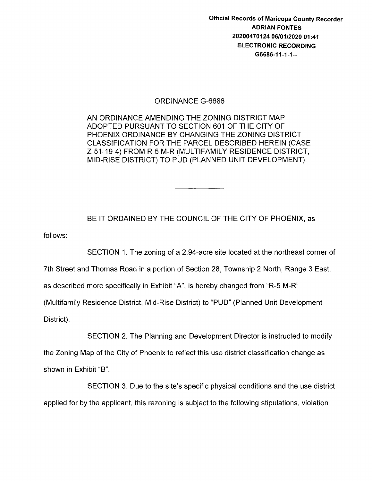Official Records of Maricopa County Recorder ADRIAN FONTES 20200470124 06/01/2020 01:41 ELECTRONIC RECORDING G6686-11-1-1--

#### ORDINANCE G-6686

AN ORDINANCE AMENDING THE ZONING DISTRICT MAP ADOPTED PURSUANT TO SECTION 601 OF THE CITY OF PHOENIX ORDINANCE BY CHANGING THE ZONING DISTRICT CLASSIFICATION FOR THE PARCEL DESCRIBED HEREIN (CASE Z-51-19-4) FROM R-5 M-R (MULTIFAMILY RESIDENCE DISTRICT, MID-RISE DISTRICT) TO PUD (PLANNED UNIT DEVELOPMENT).

BE IT ORDAINED BY THE COUNCIL OF THE CITY OF PHOENIX, as

follows:

SECTION 1. The zoning of a 2.94-acre site located at the northeast corner of

7th Street and Thomas Road in a portion of Section 28, Township 2 North, Range 3 East,

as described more specifically in Exhibit "A", is hereby changed from "R-5 M-R"

(Multifamily Residence District, Mid-Rise District) to "PUD" (Planned Unit Development

District).

SECTION 2. The Planning and Development Director is instructed to modify

the Zoning Map of the City of Phoenix to reflect this use district classification change as shown in Exhibit "B".

SECTION 3. Due to the site's specific physical conditions and the use district applied for by the applicant, this rezoning is subject to the following stipulations, violation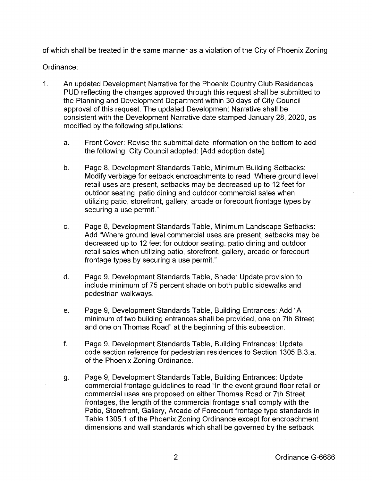of which shall be treated in the same manner as a violation of the City of Phoenix Zoning

#### Ordinance:

- 1. An updated Development Narrative for the Phoenix Country Club Residences PUD reflecting the changes approved through this request shall be submitted to the Planning and Development Department within 30 days of City Council approval of this request. The updated Development Narrative shall be consistent with the Development Narrative date stamped January 28, 2020, as modified by the following stipulations:
	- a. Front Cover: Revise the submittal date information on the bottom to add the following: City Council adopted: [Add adoption date].
	- b. Page 8, Development Standards Table, Minimum Building Setbacks: Modify verbiage for setback encroachments to read "Where ground level retail uses are present, setbacks may be decreased up to 12 feet for outdoor seating, patio dining and outdoor commercial sales when utilizing patio, storefront, gallery, arcade or forecourt frontage types by securing a use permit."
	- c. Page 8, Development Standards Table, Minimum Landscape Setbacks: Add "Where ground level commercial uses are present, setbacks may be decreased up to 12 feet for outdoor seating, patio dining and outdoor retail sales when utilizing patio, storefront, gallery, arcade or forecourt frontage types by securing a use permit."
	- d. Page 9, Development Standards Table, Shade: Update provision to include minimum of 75 percent shade on both public sidewalks and pedestrian walkways.
	- e. Page 9, Development Standards Table, Building Entrances: Add "A minimum of two building entrances shall be provided, one on 7th Street and one on Thomas Road" at the beginning of this subsection.
	- f. Page 9, Development Standards Table, Building Entrances: Update code section reference for pedestrian residences to Section 1305.B.3.a. of the Phoenix Zoning Ordinance.
	- g. Page 9, Development Standards Table, Building Entrances: Update commercial frontage guidelines to read "In the event ground floor retail or commercial uses are proposed on either Thomas Road or 7th Street frontages, the length of the commercial frontage shall comply with the Patio, Storefront, Gallery, Arcade of Forecourt frontage type standards in Table 1305.1 of the Phoenix Zoning Ordinance except for encroachment dimensions and wall standards which shall be governed by the setback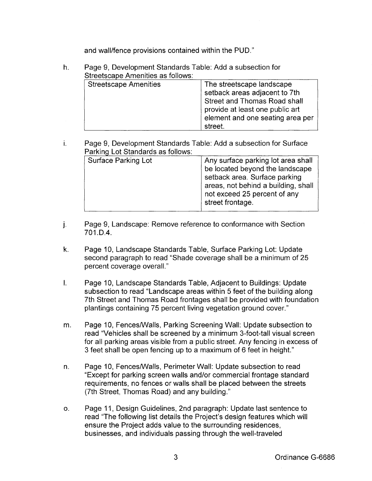and wall/fence provisions contained within the PUD."

- h. Page 9, Development Standards Table: Add a subsection for Streetscape Amenities as follows: Streetscape Amenities The streetscape landscape setback areas adjacent to 7th Street and Thomas Road shall provide at least one public art element and one seating area per street.
- 1. Page 9, Development Standards Table: Add a subsection for Surface Parking Lot Standards as follows:

| Surface Parking Lot | Any surface parking lot area shall<br>be located beyond the landscape<br>setback area. Surface parking<br>areas, not behind a building, shall |
|---------------------|-----------------------------------------------------------------------------------------------------------------------------------------------|
|                     | not exceed 25 percent of any<br>street frontage.                                                                                              |

- j. Page 9, Landscape: Remove reference to conformance with Section 701.D.4.
- k. Page 10, Landscape Standards Table, Surface Parking Lot: Update second paragraph to read "Shade coverage shall be a minimum of 25 percent coverage overall."
- I. Page 10, Landscape Standards Table, Adjacent to Buildings: Update subsection to read "Landscape areas within 5 feet of the building along 7th Street and Thomas Road frontages shall be provided with foundation plantings containing 75 percent living vegetation ground cover."
- m. Page 10, Fences/Walls, Parking Screening Wall: Update subsection to read "Vehicles shall be screened by a minimum 3-foot-tall visual screen for all parking areas visible from a public street. Any fencing in excess of 3 feet shall be open fencing up to a maximum of 6 feet in height."
- n. Page 10, Fences/Walls, Perimeter Wall: Update subsection to read "Except for parking screen walls and/or commercial frontage standard requirements, no fences or walls shall be placed between the streets (7th Street, Thomas Road) and any building."
- o. Page 11, Design Guidelines, 2nd paragraph: Update last sentence to read "The following list details the Project's design features which will ensure the Project adds value to the surrounding residences, businesses, and individuals passing through the well-traveled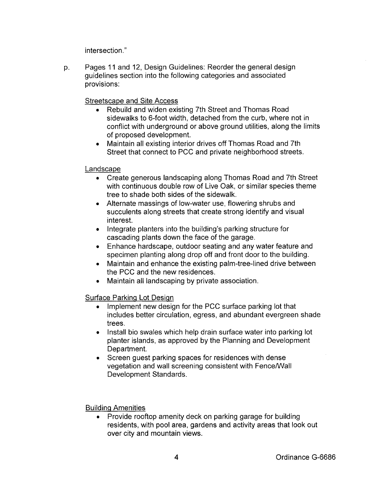intersection."

p. Pages 11 and 12, Design Guidelines: Reorder the general design guidelines section into the following categories and associated provisions:

Streetscape and Site Access

- Rebuild and widen existing 7th Street and Thomas Road sidewalks to 6-foot width, detached from the curb, where not in conflict with underground or above ground utilities, along the limits of proposed development.
- Maintain all existing interior drives off Thomas Road and 7th Street that connect to PCC and private neighborhood streets.

## Landscape

- Create generous landscaping along Thomas Road and 7th Street with continuous double row of Live Oak, or similar species theme tree to shade both sides of the sidewalk.
- Alternate massings of low-water use, flowering shrubs and succulents along streets that create strong identify and visual interest.
- Integrate planters into the building's parking structure for cascading plants down the face of the garage.
- Enhance hardscape, outdoor seating and any water feature and specimen planting along drop off and front door to the building.
- Maintain and enhance the existing palm-tree-lined drive between the PCC and the new residences.
- Maintain all landscaping by private association.

## Surface Parking Lot Design

- Implement new design for the PCC surface parking lot that includes better circulation, egress, and abundant evergreen shade trees.
- Install bio swales which help drain surface water into parking lot planter islands, as approved by the Planning and Development Department.
- Screen guest parking spaces for residences with dense vegetation and wall screening consistent with Fence/Wall Development Standards.

#### Building Amenities

• Provide rooftop amenity deck on parking garage for building residents, with pool area, gardens and activity areas that look out over city and mountain views.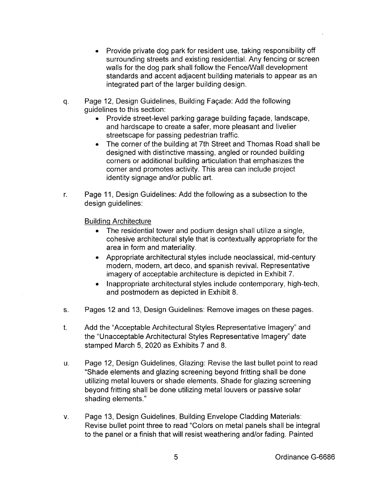- Provide private dog park for resident use, taking responsibility off surrounding streets and existing residential. Any fencing or screen walls for the dog park shall follow the Fence/Wall development standards and accent adjacent building materials to appear as an integrated part of the larger building design.
- q. Page 12, Design Guidelines, Building Fagade: Add the following guidelines to this section:
	- Provide street-level parking garage building fagade, landscape, and hardscape to create a safer, more pleasant and livelier streetscape for passing pedestrian traffic.
	- The corner of the building at 7th Street and Thomas Road shall be designed with distinctive massing, angled or rounded building corners or additional building articulation that emphasizes the corner and promotes activity. This area can include project identity signage and/or public art.
- r. Page 11, Design Guidelines: Add the following as a subsection to the design guidelines:

Building Architecture

- The residential tower and podium design shall utilize a single, cohesive architectural style that is contextually appropriate for the area in form and materiality.
- Appropriate architectural styles include neoclassical, mid-century modern, modern, art deco, and spanish revival. Representative imagery of acceptable architecture is depicted in Exhibit 7.
- Inappropriate architectural styles include contemporary, high-tech, and postmodern as depicted in Exhibit 8.
- s. Pages 12 and 13, Design Guidelines: Remove images on these pages.
- t. Add the "Acceptable Architectural Styles Representative Imagery" and the "Unacceptable Architectural Styles Representative Imagery" date stamped March 5, 2020 as Exhibits 7 and 8.
- u. Page 12, Design Guidelines, Glazing: Revise the last bullet point to read "Shade elements and glazing screening beyond fritting shall be done utilizing metal louvers or shade elements. Shade for glazing screening beyond fritting shall be done utilizing metal louvers or passive solar shading elements."
- v. Page 13, Design Guidelines, Building Envelope Cladding Materials: Revise bullet point three to read "Colors on metal panels shall be integral to the panel or a finish that will resist weathering and/or fading. Painted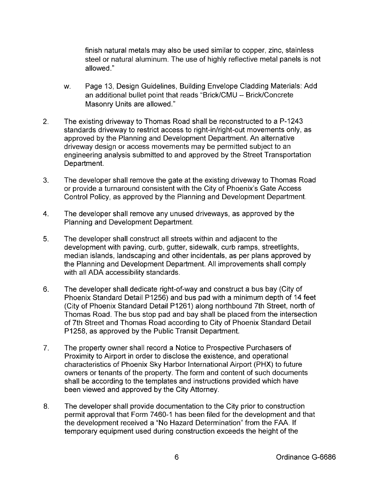finish natural metals may also be used similar to copper, zinc, stainless steel or natural aluminum. The use of highly reflective metal panels is not allowed."

- w. Page 13, Design Guidelines, Building Envelope Cladding Materials: Add an additional bullet point that reads "Brick/CMU - Brick/Concrete Masonry Units are allowed."
- 2. The existing driveway to Thomas Road shall be reconstructed to a P-1243 standards driveway to restrict access to right-in/right-out movements only, as approved by the Planning and Development Department. An alternative driveway design or access movements may be permitted subject to an engineering analysis submitted to and approved by the Street Transportation Department.
- 3. The developer shall remove the gate at the existing driveway to Thomas Road or provide a turnaround consistent with the City of Phoenix's Gate Access Control Policy, as approved by the Planning and Development Department.
- 4. The developer shall remove any unused driveways, as approved by the Planning and Development Department.
- 5. The developer shall construct all streets within and adjacent to the development with paving, curb, gutter, sidewalk, curb ramps, streetlights, median islands, landscaping and other incidentals, as per plans approved by the Planning and Development Department. All improvements shall comply with all ADA accessibility standards.
- 6. The developer shall dedicate right-of-way and construct a bus bay (City of Phoenix Standard Detail P1256) and bus pad with a minimum depth of 14 feet (City of Phoenix Standard Detail P1261) along northbound 7th Street, north of Thomas Road. The bus stop pad and bay shall be placed from the intersection of 7th Street and Thomas Road according to City of Phoenix Standard Detail P1258, as approved by the Public Transit Department.
- 7. The property owner shall record a Notice to Prospective Purchasers of Proximity to Airport in order to disclose the existence, and operational characteristics of Phoenix Sky Harbor International Airport (PHX) to future owners or tenants of the property. The form and content of such documents shall be according to the templates and instructions provided which have been viewed and approved by the City Attorney.
- 8. The developer shall provide documentation to the City prior to construction permit approval that Form 7460-1 has been filed for the development and that the development received a "No Hazard Determination" from the FAA. If temporary equipment used during construction exceeds the height of the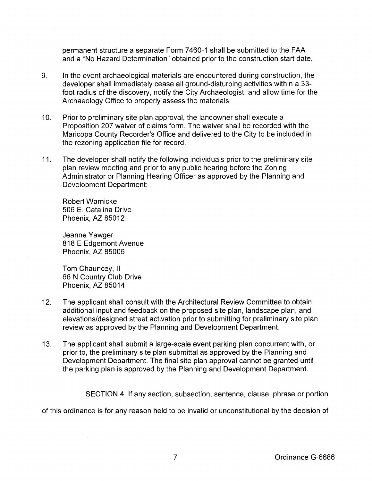permanent structure a separate Form 7460-1 shall be submitted to the FAA and a "No Hazard Determination" obtained prior to the construction start date.

- 9. In the event archaeological materials are encountered during construction, the developer shall immediately cease all ground-disturbing activities within a 33 foot radius of the discovery, notify the City Archaeologist, and allow time for the Archaeology Office to properly assess the materials.
- 10. Prior to preliminary site plan approval, the landowner shall execute a Proposition 207 waiver of claims form. The waiver shall be recorded with the Maricopa County Recorder's Office and delivered to the City to be included in the rezoning application file for record.
- 11. The developer shall notify the following individuals prior to the preliminary site plan review meeting and prior to any public hearing before the Zoning Administrator or Planning Hearing Officer as approved by the Planning and Development Department:

Robert Warnicke 506 E. Catalina Drive Phoenix, AZ 85012

Jeanne Yawger 818 E Edgemont Avenue Phoenix, AZ 85006

Tom Chauncey, II 66 N Country Club Drive Phoenix, AZ 85014

- 12. The applicant shall consult with the Architectural Review Committee to obtain additional input and feedback on the proposed site plan, landscape plan, and elevations/designed street activation prior to submitting for preliminary site plan review as approved by the Planning and Development Department.
- 13. The applicant shall submit a large-scale event parking plan concurrent with, or prior to, the preliminary site plan submittal as approved by the Planning and Development Department. The final site plan approval cannot be granted until the parking plan is approved by the Planning and Development Department.

SECTION 4. If any section, subsection, sentence, clause, phrase or portion

of this ordinance is for any reason held to be invalid or unconstitutional by the decision of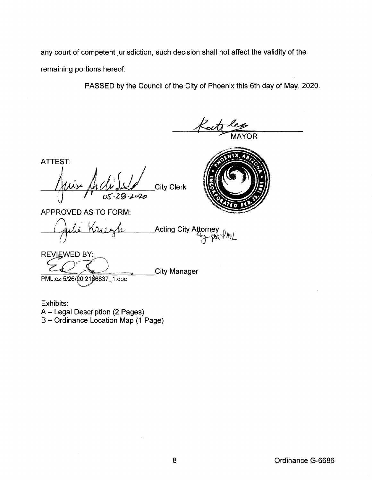any court of competent jurisdiction, such decision shall not affect the validity of the remaining portions hereof.

PASSED by the Council of the City of Phoenix this 6th day of May, 2020.

YOR **ATTEST: City Clerk APPROVED AS TO FORM:** Acting City Attorney\_<br>اسمام استطاح کے ا Kree  $\frac{1}{2}$ **REVIEWED BY:** 

PML:cz:5/26/20:2196837\_1.doc

**City Manager** 

Exhibits:

A - Legal Description (2 Pages) B - Ordinance Location Map (1 Page)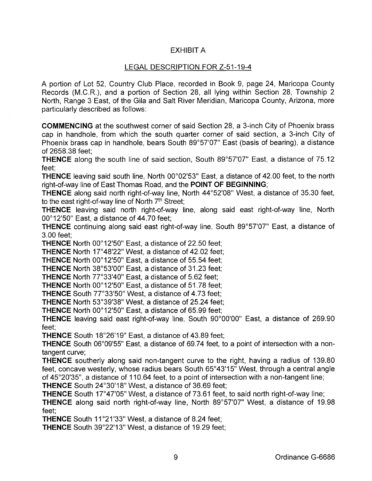# EXHIBIT A

### LEGAL DESCRIPTION FOR Z-51-19-4

A portion of Lot 52, Country Club Place, recorded in Book 9, page 24, Maricopa County Records (M.C.R.), and a portion of Section 28, all lying within Section 28, Township 2 North, Range 3 East, of the Gila and Salt River Meridian, Maricopa County, Arizona, more particularly described as follows:

**COMMENCING** at the southwest corner of said Section 28, a 3-inch City of Phoenix brass cap in handhole, from which the south quarter corner of said section, a 3-inch City of Phoenix brass cap in handhole, bears South 89°57'07" East (basis of bearing), a distance of 2658.38 feet;

**THENCE** along the south line of said section, South 89°57'07" East, a distance of 75.12 feet;

**THENCE** leaving said south line, North 00°02'53" East, a distance of 42.00 feet, to the north right-of-way line of East Thomas Road, and the **POINT OF BEGINNING;** 

**THENCE** along said north right-of-way line, North 44°52'08" West, a distance of 35.30 feet, to the east right-of-way line of North 7<sup>th</sup> Street;

**THENCE** leaving said north right-of-way line, along said east right-of-way line, North 00°12'50" East, a distance of 44.70 feet;

**THENCE** continuing along said east right-of-way line, South 89°57'07" East, a distance of 3.00 feet;

**THENCE** North 00°12'50" East, a distance of 22.50 feet;

**THENCE** North 17°48'22" West, a distance of 42.02 feet;

**THENCE** North 00°12'50" East, a distance of 55.54 feet;

**THENCE** North 38°53'00" East, a distance of 31.23 feet;

**THENCE** North 77°33'40" East, a distance of 5.62 feet;

**THENCE** North 00°12'50" East, a distance of 51.78 feet;

THENCE South 77°33'50" West, a distance of 4.73 feet;

**THENCE** North 53°39'38" West, a distance of 25.24 feet;

**THENCE** North 00°12'50" East, a distance of 65.99 feet;

**THENCE** leaving said east right-of-way line, South 90°00'00" East, a distance of 269.90 feet;

**THENCE** South 18°26'19" East, a distance of 43.89 feet;

**THENCE** South 06°09'55" East, a distance of 69.74 feet, to a point of intersection with a nontangent curve;

**THENCE** southerly along said non-tangent curve to the right, having a radius of 139.80 feet, concave westerly, whose radius bears South 65°43'15" West, through a central angle of 45°20'35", a distance of 110.64 feet, to a point of intersection with a non-tangent line; **THENCE** South 24°30'18" West, a distance of 36.69 feet;

**THENCE** South 17°47'05" West, a distance of 73.61 feet, to said north right-of-way line;

**THENCE** along said north right-of-way line, North 89°57'07" West, a distance of 19.98 feet;

**THENCE** South 11°21'33" West, a distance of 8.24 feet;

**THENCE** South 39°22'13" West, a distance of 19.29 feet;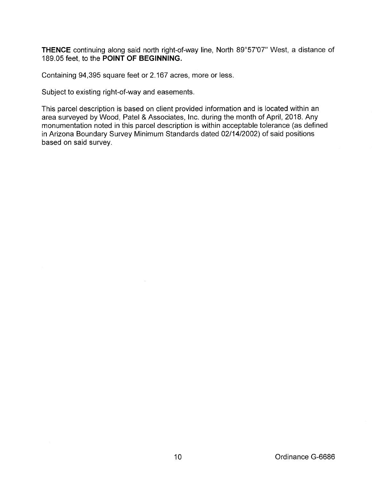**THENCE** continuing along said north right-of-way line, North 89°57'07" West, a distance of 189.05 feet, to the **POINT OF BEGINNING.** 

Containing 94,395 square feet or 2.167 acres, more or less.

Subject to existing right-of-way and easements.

This parcel description is based on client provided information and is located within an area surveyed by Wood, Patel & Associates, Inc. during the month of April, 2018. Any monumentation noted in this parcel description is within acceptable tolerance (as defined in Arizona Boundary Survey Minimum Standards dated 02/14/2002) of said positions based on said survey.